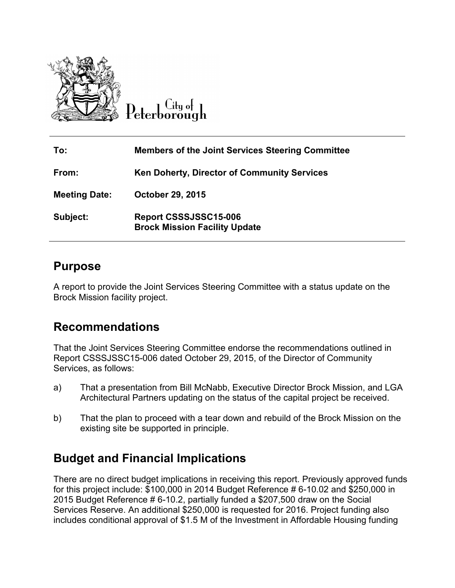

City of

| To:                  | <b>Members of the Joint Services Steering Committee</b>       |
|----------------------|---------------------------------------------------------------|
| From:                | Ken Doherty, Director of Community Services                   |
| <b>Meeting Date:</b> | <b>October 29, 2015</b>                                       |
| Subject:             | Report CSSSJSSC15-006<br><b>Brock Mission Facility Update</b> |

## **Purpose**

A report to provide the Joint Services Steering Committee with a status update on the Brock Mission facility project.

## **Recommendations**

That the Joint Services Steering Committee endorse the recommendations outlined in Report CSSSJSSC15-006 dated October 29, 2015, of the Director of Community Services, as follows:

- a) That a presentation from Bill McNabb, Executive Director Brock Mission, and LGA Architectural Partners updating on the status of the capital project be received.
- b) That the plan to proceed with a tear down and rebuild of the Brock Mission on the existing site be supported in principle.

## **Budget and Financial Implications**

There are no direct budget implications in receiving this report. Previously approved funds for this project include: \$100,000 in 2014 Budget Reference # 6-10.02 and \$250,000 in 2015 Budget Reference # 6-10.2, partially funded a \$207,500 draw on the Social Services Reserve. An additional \$250,000 is requested for 2016. Project funding also includes conditional approval of \$1.5 M of the Investment in Affordable Housing funding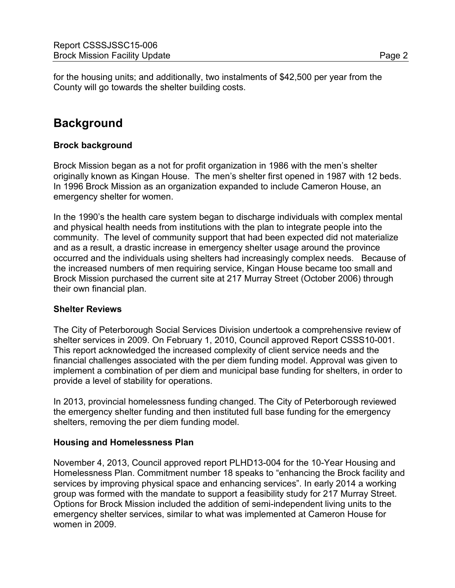for the housing units; and additionally, two instalments of \$42,500 per year from the County will go towards the shelter building costs.

# **Background**

## **Brock background**

Brock Mission began as a not for profit organization in 1986 with the men's shelter originally known as Kingan House. The men's shelter first opened in 1987 with 12 beds. In 1996 Brock Mission as an organization expanded to include Cameron House, an emergency shelter for women.

In the 1990's the health care system began to discharge individuals with complex mental and physical health needs from institutions with the plan to integrate people into the community. The level of community support that had been expected did not materialize and as a result, a drastic increase in emergency shelter usage around the province occurred and the individuals using shelters had increasingly complex needs. Because of the increased numbers of men requiring service, Kingan House became too small and Brock Mission purchased the current site at 217 Murray Street (October 2006) through their own financial plan.

## **Shelter Reviews**

The City of Peterborough Social Services Division undertook a comprehensive review of shelter services in 2009. On February 1, 2010, Council approved Report CSSS10-001. This report acknowledged the increased complexity of client service needs and the financial challenges associated with the per diem funding model. Approval was given to implement a combination of per diem and municipal base funding for shelters, in order to provide a level of stability for operations.

In 2013, provincial homelessness funding changed. The City of Peterborough reviewed the emergency shelter funding and then instituted full base funding for the emergency shelters, removing the per diem funding model.

#### **Housing and Homelessness Plan**

November 4, 2013, Council approved report PLHD13-004 for the 10-Year Housing and Homelessness Plan. Commitment number 18 speaks to "enhancing the Brock facility and services by improving physical space and enhancing services". In early 2014 a working group was formed with the mandate to support a feasibility study for 217 Murray Street. Options for Brock Mission included the addition of semi-independent living units to the emergency shelter services, similar to what was implemented at Cameron House for women in 2009.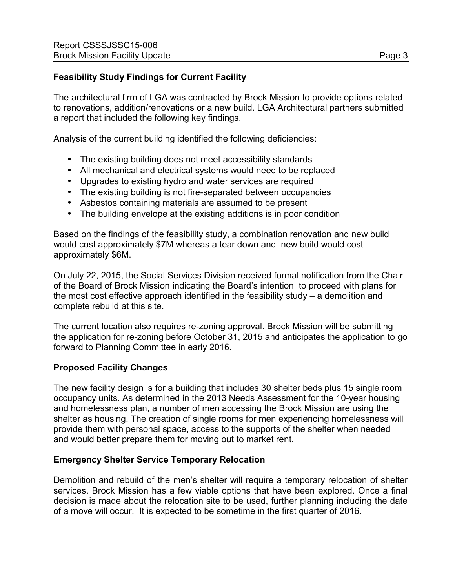## **Feasibility Study Findings for Current Facility**

The architectural firm of LGA was contracted by Brock Mission to provide options related to renovations, addition/renovations or a new build. LGA Architectural partners submitted a report that included the following key findings.

Analysis of the current building identified the following deficiencies:

- The existing building does not meet accessibility standards
- All mechanical and electrical systems would need to be replaced
- Upgrades to existing hydro and water services are required
- The existing building is not fire-separated between occupancies
- Asbestos containing materials are assumed to be present
- The building envelope at the existing additions is in poor condition

Based on the findings of the feasibility study, a combination renovation and new build would cost approximately \$7M whereas a tear down and new build would cost approximately \$6M.

On July 22, 2015, the Social Services Division received formal notification from the Chair of the Board of Brock Mission indicating the Board's intention to proceed with plans for the most cost effective approach identified in the feasibility study – a demolition and complete rebuild at this site.

The current location also requires re-zoning approval. Brock Mission will be submitting the application for re-zoning before October 31, 2015 and anticipates the application to go forward to Planning Committee in early 2016.

#### **Proposed Facility Changes**

The new facility design is for a building that includes 30 shelter beds plus 15 single room occupancy units. As determined in the 2013 Needs Assessment for the 10-year housing and homelessness plan, a number of men accessing the Brock Mission are using the shelter as housing. The creation of single rooms for men experiencing homelessness will provide them with personal space, access to the supports of the shelter when needed and would better prepare them for moving out to market rent.

#### **Emergency Shelter Service Temporary Relocation**

Demolition and rebuild of the men's shelter will require a temporary relocation of shelter services. Brock Mission has a few viable options that have been explored. Once a final decision is made about the relocation site to be used, further planning including the date of a move will occur. It is expected to be sometime in the first quarter of 2016.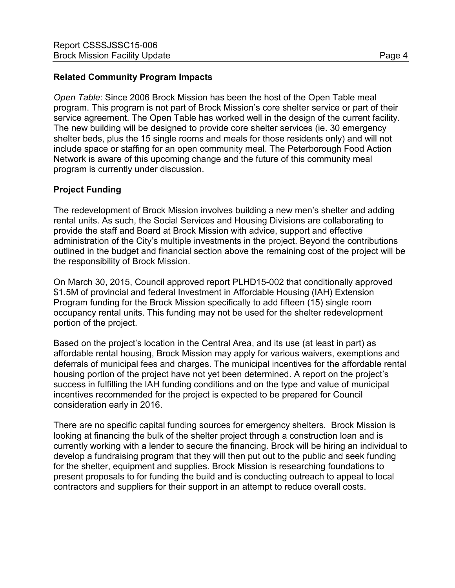### **Related Community Program Impacts**

*Open Table*: Since 2006 Brock Mission has been the host of the Open Table meal program. This program is not part of Brock Mission's core shelter service or part of their service agreement. The Open Table has worked well in the design of the current facility. The new building will be designed to provide core shelter services (ie. 30 emergency shelter beds, plus the 15 single rooms and meals for those residents only) and will not include space or staffing for an open community meal. The Peterborough Food Action Network is aware of this upcoming change and the future of this community meal program is currently under discussion.

## **Project Funding**

The redevelopment of Brock Mission involves building a new men's shelter and adding rental units. As such, the Social Services and Housing Divisions are collaborating to provide the staff and Board at Brock Mission with advice, support and effective administration of the City's multiple investments in the project. Beyond the contributions outlined in the budget and financial section above the remaining cost of the project will be the responsibility of Brock Mission.

On March 30, 2015, Council approved report PLHD15-002 that conditionally approved \$1.5M of provincial and federal Investment in Affordable Housing (IAH) Extension Program funding for the Brock Mission specifically to add fifteen (15) single room occupancy rental units. This funding may not be used for the shelter redevelopment portion of the project.

Based on the project's location in the Central Area, and its use (at least in part) as affordable rental housing, Brock Mission may apply for various waivers, exemptions and deferrals of municipal fees and charges. The municipal incentives for the affordable rental housing portion of the project have not yet been determined. A report on the project's success in fulfilling the IAH funding conditions and on the type and value of municipal incentives recommended for the project is expected to be prepared for Council consideration early in 2016.

There are no specific capital funding sources for emergency shelters. Brock Mission is looking at financing the bulk of the shelter project through a construction loan and is currently working with a lender to secure the financing. Brock will be hiring an individual to develop a fundraising program that they will then put out to the public and seek funding for the shelter, equipment and supplies. Brock Mission is researching foundations to present proposals to for funding the build and is conducting outreach to appeal to local contractors and suppliers for their support in an attempt to reduce overall costs.